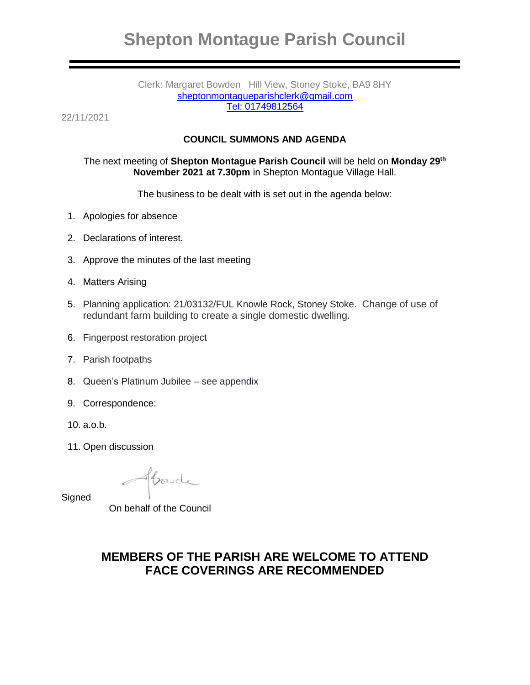#### Clerk: Margaret Bowden Hill View, Stoney Stoke, BA9 8HY [sheptonmontagueparishclerk@gmail.com](mailto:sheptonmontagueparishclerk@gmail.com) Tel: 01749812564

22/11/2021

#### **COUNCIL SUMMONS AND AGENDA**

#### The next meeting of **Shepton Montague Parish Council** will be held on **Monday 29th November 2021 at 7.30pm** in Shepton Montague Village Hall.

The business to be dealt with is set out in the agenda below:

- 1. Apologies for absence
- 2. Declarations of interest.
- 3. Approve the minutes of the last meeting
- 4. Matters Arising
- 5. Planning application: 21/03132/FUL Knowle Rock, Stoney Stoke. Change of use of redundant farm building to create a single domestic dwelling.
- 6. Fingerpost restoration project
- 7. Parish footpaths
- 8. Queen's Platinum Jubilee see appendix
- 9. Correspondence:
- 10. a.o.b.
- 11. Open discussion

Boude

**Signed** 

On behalf of the Council

# **MEMBERS OF THE PARISH ARE WELCOME TO ATTEND FACE COVERINGS ARE RECOMMENDED**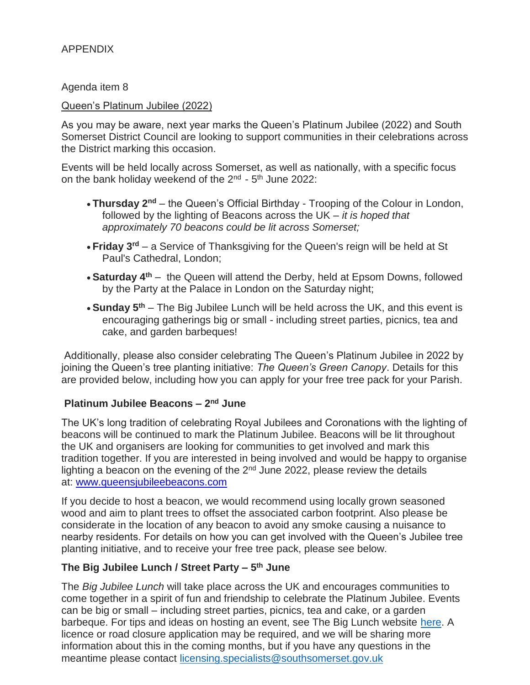Agenda item 8

#### Queen's Platinum Jubilee (2022)

As you may be aware, next year marks the Queen's Platinum Jubilee (2022) and South Somerset District Council are looking to support communities in their celebrations across the District marking this occasion.

Events will be held locally across Somerset, as well as nationally, with a specific focus on the bank holiday weekend of the 2<sup>nd</sup> - 5<sup>th</sup> June 2022:

- **Thursday 2nd** the Queen's Official Birthday Trooping of the Colour in London, followed by the lighting of Beacons across the UK – *it is hoped that approximately 70 beacons could be lit across Somerset;*
- **Friday 3rd** a Service of Thanksgiving for the Queen's reign will be held at St Paul's Cathedral, London;
- **Saturday 4<sup>th</sup>** the Queen will attend the Derby, held at Epsom Downs, followed by the Party at the Palace in London on the Saturday night;
- **Sunday 5th** The Big Jubilee Lunch will be held across the UK, and this event is encouraging gatherings big or small - including street parties, picnics, tea and cake, and garden barbeques!

Additionally, please also consider celebrating The Queen's Platinum Jubilee in 2022 by joining the Queen's tree planting initiative: *The Queen's Green Canopy*. Details for this are provided below, including how you can apply for your free tree pack for your Parish.

## **Platinum Jubilee Beacons – 2 nd June**

The UK's long tradition of celebrating Royal Jubilees and Coronations with the lighting of beacons will be continued to mark the Platinum Jubilee. Beacons will be lit throughout the UK and organisers are looking for communities to get involved and mark this tradition together. If you are interested in being involved and would be happy to organise lighting a beacon on the evening of the  $2<sup>nd</sup>$  June 2022, please review the details at: [www.queensjubileebeacons.com](https://www.queensjubileebeacons.com/)

If you decide to host a beacon, we would recommend using locally grown seasoned wood and aim to plant trees to offset the associated carbon footprint. Also please be considerate in the location of any beacon to avoid any smoke causing a nuisance to nearby residents. For details on how you can get involved with the Queen's Jubilee tree planting initiative, and to receive your free tree pack, please see below.

## **The Big Jubilee Lunch / Street Party – 5 th June**

The *Big Jubilee Lunch* will take place across the UK and encourages communities to come together in a spirit of fun and friendship to celebrate the Platinum Jubilee. Events can be big or small – including street parties, picnics, tea and cake, or a garden barbeque. For tips and ideas on hosting an event, see The Big Lunch website [here.](https://www.edenprojectcommunities.com/the-big-lunch) A licence or road closure application may be required, and we will be sharing more information about this in the coming months, but if you have any questions in the meantime please contact [licensing.specialists@southsomerset.gov.uk](mailto:licensing.specialists@southsomerset.gov.uk)